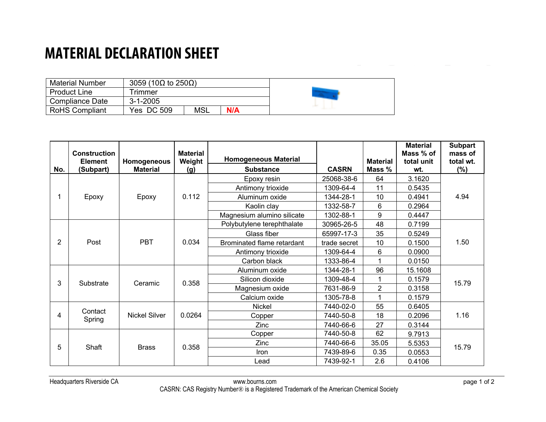## **MATERIAL DECLARATION SHEET**

| <b>Material Number</b> | 3059 (10 $\Omega$ to 250 $\Omega$ ) |     |     |  |
|------------------------|-------------------------------------|-----|-----|--|
| <b>Product Line</b>    | <b>Timmer</b>                       |     |     |  |
| Compliance Date        | $3 - 1 - 2005$                      |     |     |  |
| <b>RoHS Compliant</b>  | Yes DC 509                          | MSL | N/A |  |

| No.                    | <b>Construction</b><br><b>Element</b><br>(Subpart) | Homogeneous<br><b>Material</b> | <b>Material</b><br>Weight<br>(g) | <b>Homogeneous Material</b><br><b>Substance</b> | <b>CASRN</b> | <b>Material</b><br>Mass % | <b>Material</b><br>Mass % of<br>total unit<br>wt. | <b>Subpart</b><br>mass of<br>total wt.<br>$(\%)$ |
|------------------------|----------------------------------------------------|--------------------------------|----------------------------------|-------------------------------------------------|--------------|---------------------------|---------------------------------------------------|--------------------------------------------------|
| Epoxy                  |                                                    | Epoxy                          | 0.112                            | Epoxy resin                                     | 25068-38-6   | 64                        | 3.1620                                            | 4.94                                             |
|                        |                                                    |                                |                                  | Antimony trioxide                               | 1309-64-4    | 11                        | 0.5435                                            |                                                  |
|                        |                                                    |                                |                                  | Aluminum oxide                                  | 1344-28-1    | 10                        | 0.4941                                            |                                                  |
|                        |                                                    |                                |                                  | Kaolin clay                                     | 1332-58-7    | 6                         | 0.2964                                            |                                                  |
|                        |                                                    |                                |                                  | Magnesium alumino silicate                      | 1302-88-1    | 9                         | 0.4447                                            |                                                  |
| $\overline{2}$<br>Post |                                                    | <b>PBT</b>                     | 0.034                            | Polybutylene terephthalate                      | 30965-26-5   | 48                        | 0.7199                                            | 1.50                                             |
|                        |                                                    |                                |                                  | Glass fiber                                     | 65997-17-3   | 35                        | 0.5249                                            |                                                  |
|                        |                                                    |                                |                                  | Brominated flame retardant                      | trade secret | 10                        | 0.1500                                            |                                                  |
|                        |                                                    |                                |                                  | Antimony trioxide                               | 1309-64-4    | 6                         | 0.0900                                            |                                                  |
|                        |                                                    |                                |                                  | Carbon black                                    | 1333-86-4    | 1                         | 0.0150                                            |                                                  |
| 3                      | Substrate                                          | Ceramic                        | 0.358                            | Aluminum oxide                                  | 1344-28-1    | 96                        | 15.1608                                           | 15.79                                            |
|                        |                                                    |                                |                                  | Silicon dioxide                                 | 1309-48-4    | 1                         | 0.1579                                            |                                                  |
|                        |                                                    |                                |                                  | Magnesium oxide                                 | 7631-86-9    | $\overline{2}$            | 0.3158                                            |                                                  |
|                        |                                                    |                                |                                  | Calcium oxide                                   | 1305-78-8    | 1                         | 0.1579                                            |                                                  |
| 4                      | Contact<br>Spring                                  | <b>Nickel Silver</b>           | 0.0264                           | <b>Nickel</b>                                   | 7440-02-0    | 55                        | 0.6405                                            | 1.16                                             |
|                        |                                                    |                                |                                  | Copper                                          | 7440-50-8    | 18                        | 0.2096                                            |                                                  |
|                        |                                                    |                                |                                  | Zinc                                            | 7440-66-6    | 27                        | 0.3144                                            |                                                  |
| 5                      | Shaft                                              | <b>Brass</b>                   | 0.358                            | Copper                                          | 7440-50-8    | 62                        | 9.7913                                            | 15.79                                            |
|                        |                                                    |                                |                                  | Zinc                                            | 7440-66-6    | 35.05                     | 5.5353                                            |                                                  |
|                        |                                                    |                                |                                  | Iron                                            | 7439-89-6    | 0.35                      | 0.0553                                            |                                                  |
|                        |                                                    |                                |                                  | Lead                                            | 7439-92-1    | 2.6                       | 0.4106                                            |                                                  |